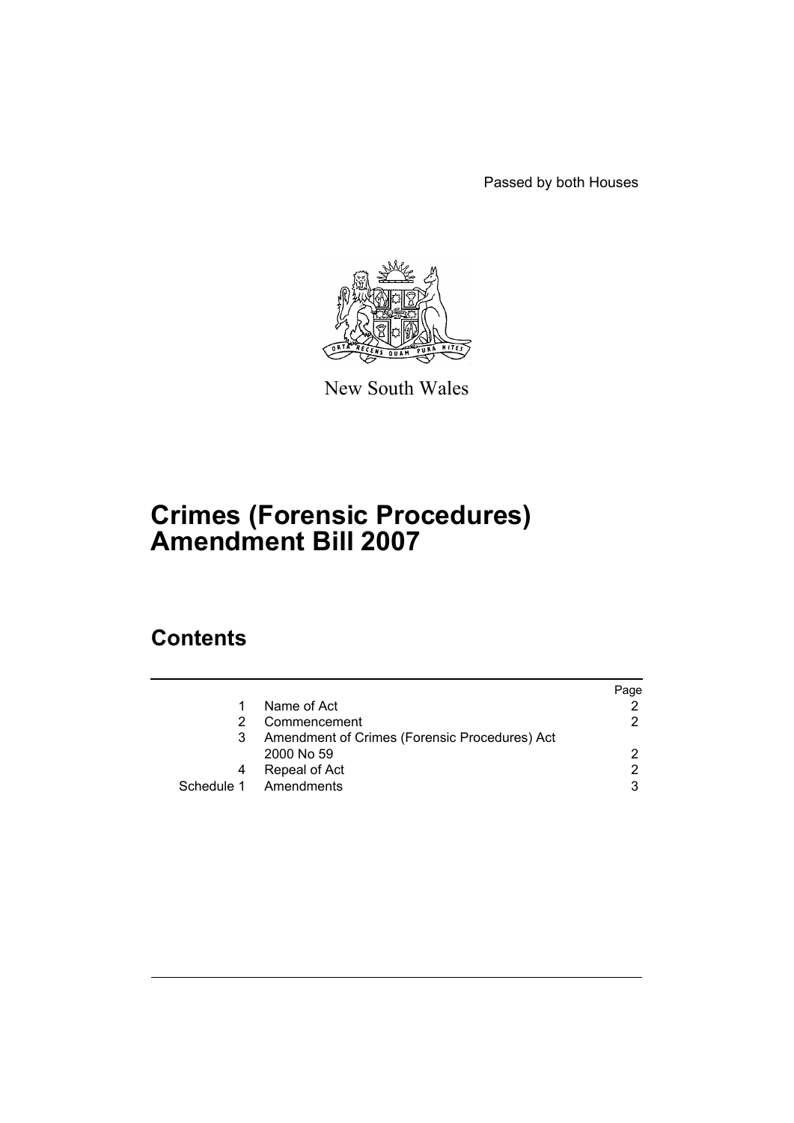Passed by both Houses



New South Wales

# **Crimes (Forensic Procedures) Amendment Bill 2007**

## **Contents**

|   |                                               | Paqe |
|---|-----------------------------------------------|------|
|   | Name of Act                                   | 2    |
| 2 | Commencement                                  | 2    |
| 3 | Amendment of Crimes (Forensic Procedures) Act |      |
|   | 2000 No 59                                    | 2    |
| 4 | Repeal of Act                                 | 2    |
|   | Schedule 1 Amendments                         | 3    |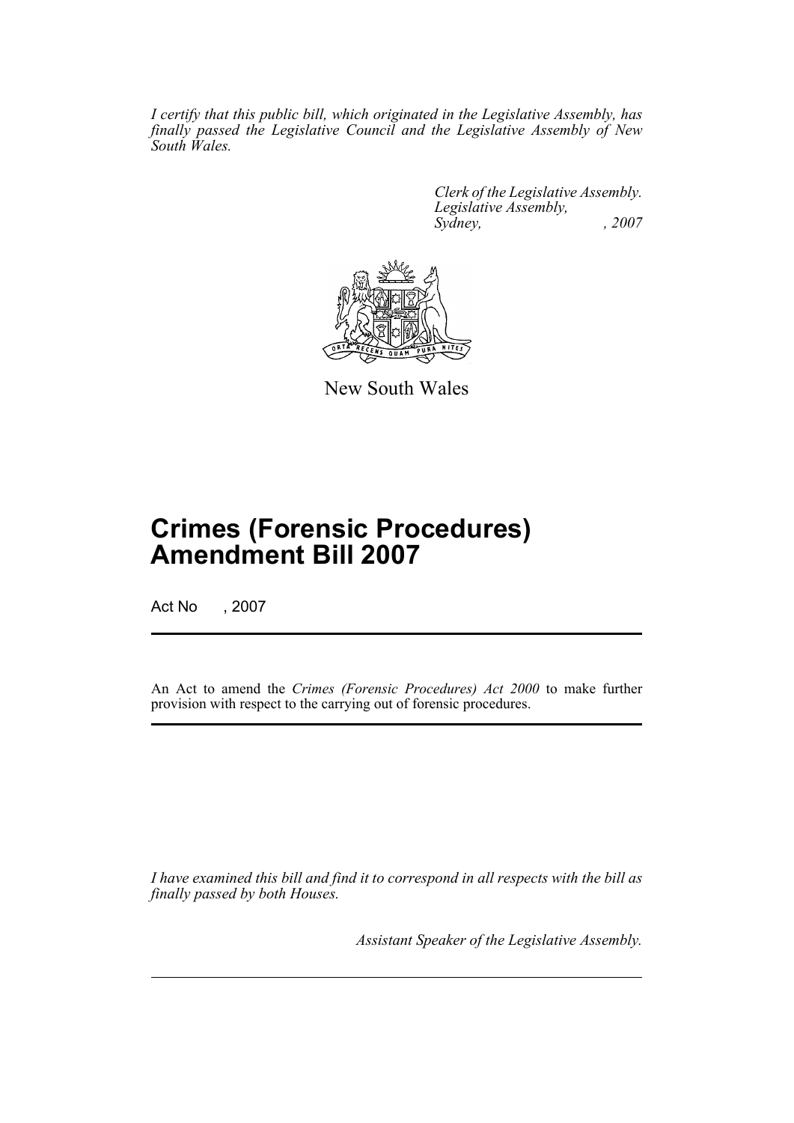*I certify that this public bill, which originated in the Legislative Assembly, has finally passed the Legislative Council and the Legislative Assembly of New South Wales.*

> *Clerk of the Legislative Assembly. Legislative Assembly, Sydney, , 2007*



New South Wales

## **Crimes (Forensic Procedures) Amendment Bill 2007**

Act No , 2007

An Act to amend the *Crimes (Forensic Procedures) Act 2000* to make further provision with respect to the carrying out of forensic procedures.

*I have examined this bill and find it to correspond in all respects with the bill as finally passed by both Houses.*

*Assistant Speaker of the Legislative Assembly.*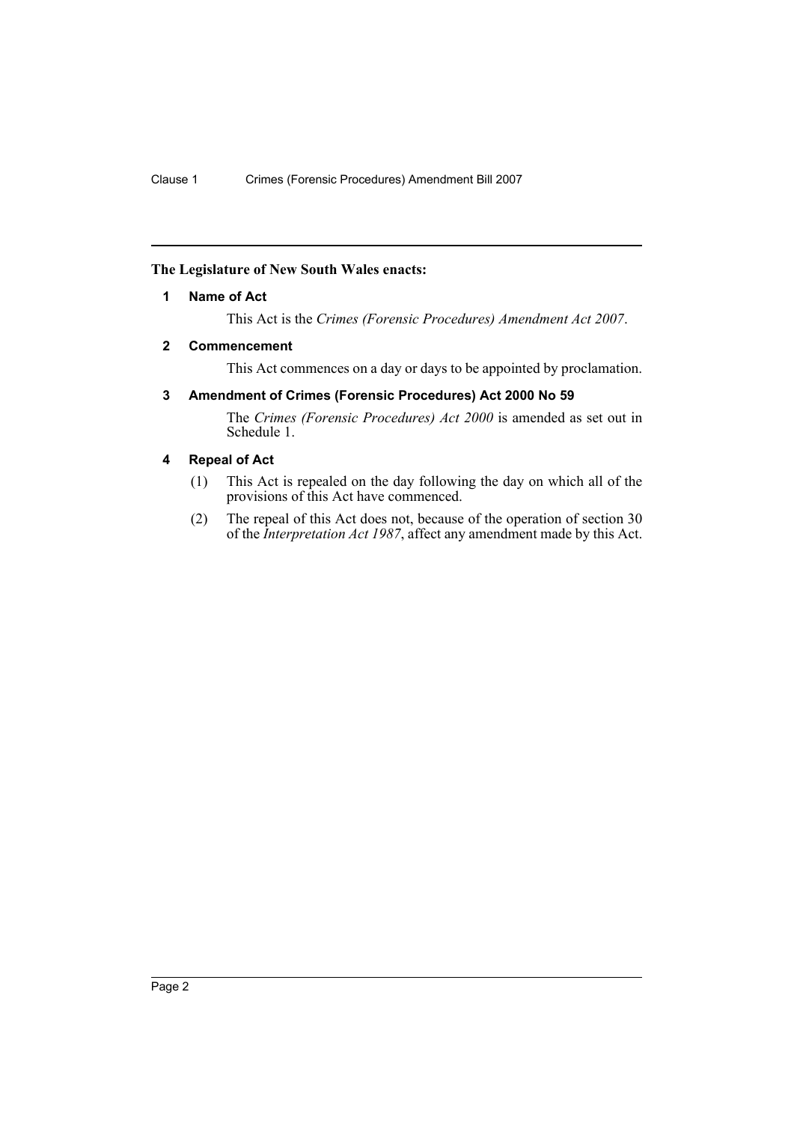### <span id="page-2-0"></span>**The Legislature of New South Wales enacts:**

### **1 Name of Act**

This Act is the *Crimes (Forensic Procedures) Amendment Act 2007*.

### <span id="page-2-1"></span>**2 Commencement**

This Act commences on a day or days to be appointed by proclamation.

### <span id="page-2-2"></span>**3 Amendment of Crimes (Forensic Procedures) Act 2000 No 59**

The *Crimes (Forensic Procedures) Act 2000* is amended as set out in Schedule 1.

### <span id="page-2-3"></span>**4 Repeal of Act**

- (1) This Act is repealed on the day following the day on which all of the provisions of this Act have commenced.
- (2) The repeal of this Act does not, because of the operation of section 30 of the *Interpretation Act 1987*, affect any amendment made by this Act.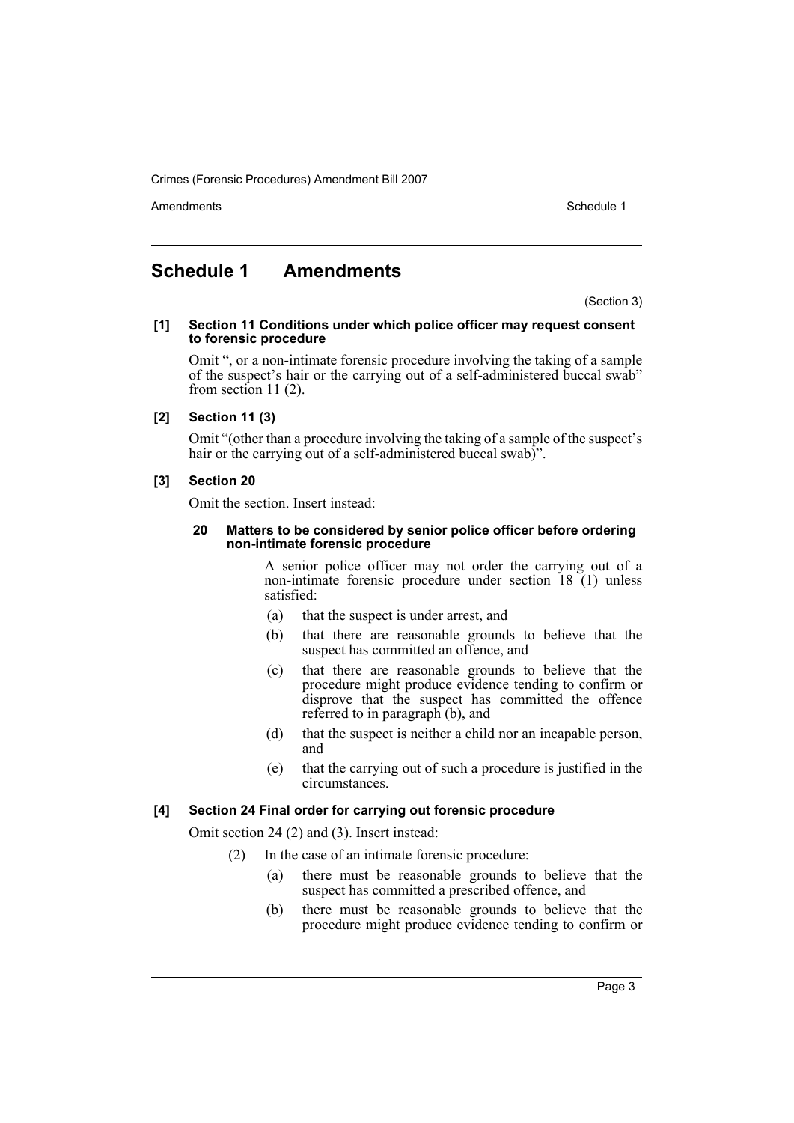Crimes (Forensic Procedures) Amendment Bill 2007

Amendments **Amendments** Schedule 1

### <span id="page-3-0"></span>**Schedule 1 Amendments**

(Section 3)

**[1] Section 11 Conditions under which police officer may request consent to forensic procedure**

Omit ", or a non-intimate forensic procedure involving the taking of a sample of the suspect's hair or the carrying out of a self-administered buccal swab" from section 11 (2).

### **[2] Section 11 (3)**

Omit "(other than a procedure involving the taking of a sample of the suspect's hair or the carrying out of a self-administered buccal swab)".

### **[3] Section 20**

Omit the section. Insert instead:

#### **20 Matters to be considered by senior police officer before ordering non-intimate forensic procedure**

A senior police officer may not order the carrying out of a non-intimate forensic procedure under section 18 (1) unless satisfied:

- (a) that the suspect is under arrest, and
- (b) that there are reasonable grounds to believe that the suspect has committed an offence, and
- (c) that there are reasonable grounds to believe that the procedure might produce evidence tending to confirm or disprove that the suspect has committed the offence referred to in paragraph (b), and
- (d) that the suspect is neither a child nor an incapable person, and
- (e) that the carrying out of such a procedure is justified in the circumstances.

### **[4] Section 24 Final order for carrying out forensic procedure**

Omit section 24 (2) and (3). Insert instead:

- (2) In the case of an intimate forensic procedure:
	- (a) there must be reasonable grounds to believe that the suspect has committed a prescribed offence, and
	- (b) there must be reasonable grounds to believe that the procedure might produce evidence tending to confirm or